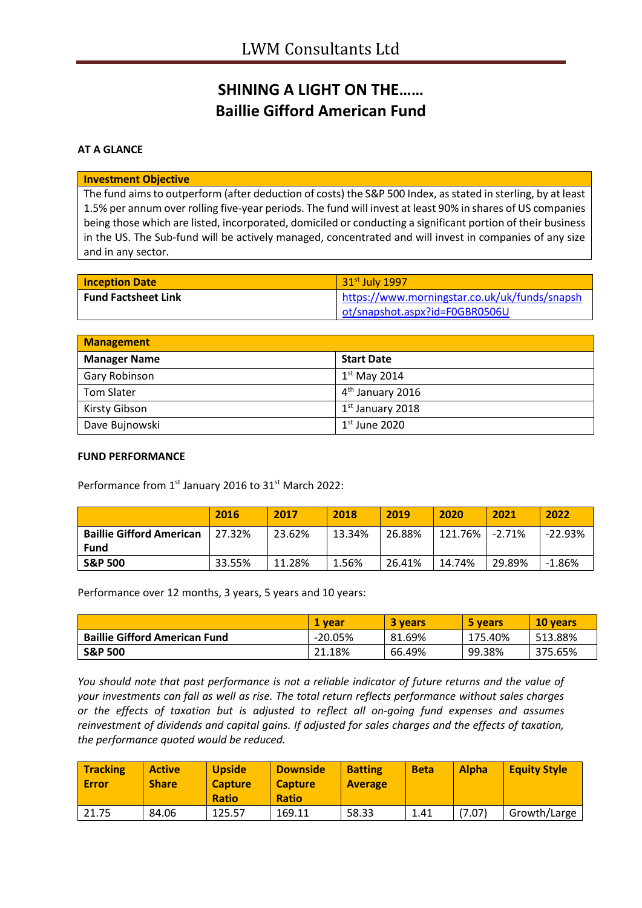# **SHINING A LIGHT ON THE…… Baillie Gifford American Fund**

## **AT A GLANCE**

#### **Investment Objective**

The fund aims to outperform (after deduction of costs) the S&P 500 Index, as stated in sterling, by at least 1.5% per annum over rolling five-year periods. The fund will invest at least 90% in shares of US companies being those which are listed, incorporated, domiciled or conducting a significant portion of their business in the US. The Sub-fund will be actively managed, concentrated and will invest in companies of any size and in any sector.

| <b>Inception Date</b>      | 31 <sup>st</sup> July 1997                    |
|----------------------------|-----------------------------------------------|
| <b>Fund Factsheet Link</b> | https://www.morningstar.co.uk/uk/funds/snapsh |
|                            | ot/snapshot.aspx?id=F0GBR0506U                |

| <b>Management</b>   |                              |
|---------------------|------------------------------|
| <b>Manager Name</b> | <b>Start Date</b>            |
| Gary Robinson       | $1st$ May 2014               |
| <b>Tom Slater</b>   | 4 <sup>th</sup> January 2016 |
| Kirsty Gibson       | $1st$ January 2018           |
| Dave Bujnowski      | $1st$ June 2020              |

#### **FUND PERFORMANCE**

Performance from 1<sup>st</sup> January 2016 to 31<sup>st</sup> March 2022:

|                                         | 2016   | 2017   | 2018   | 2019   | 2020    | 2021     | 2022      |
|-----------------------------------------|--------|--------|--------|--------|---------|----------|-----------|
| <b>Baillie Gifford American</b><br>Fund | 27.32% | 23.62% | 13.34% | 26.88% | 121.76% | $-2.71%$ | $-22.93%$ |
| <b>S&amp;P 500</b>                      | 33.55% | 11.28% | 1.56%  | 26.41% | 14.74%  | 29.89%   | $-1.86%$  |

Performance over 12 months, 3 years, 5 years and 10 years:

|                                      | 1 vear    | <b>3 vears</b> | 5 years | 10 vears |
|--------------------------------------|-----------|----------------|---------|----------|
| <b>Baillie Gifford American Fund</b> | $-20.05%$ | 81.69%         | 175.40% | 513.88%  |
| <b>S&amp;P 500</b>                   | 21.18%    | 66.49%         | 99.38%  | 375.65%  |

*You should note that past performance is not a reliable indicator of future returns and the value of your investments can fall as well as rise. The total return reflects performance without sales charges or the effects of taxation but is adjusted to reflect all on-going fund expenses and assumes reinvestment of dividends and capital gains. If adjusted for sales charges and the effects of taxation, the performance quoted would be reduced.*

| <b>Tracking</b><br><b>Error</b> | <b>Active</b><br><b>Share</b> | <b>Upside</b><br><b>Capture</b><br><b>Ratio</b> | <b>Downside</b><br><b>Capture</b><br><b>Ratio</b> | <b>Batting</b><br><b>Average</b> | <b>Beta</b> | <b>Alpha</b> | <b>Equity Style</b> |
|---------------------------------|-------------------------------|-------------------------------------------------|---------------------------------------------------|----------------------------------|-------------|--------------|---------------------|
| 21.75                           | 84.06                         | 125.57                                          | 169.11                                            | 58.33                            | 1.41        | (7.07)       | Growth/Large        |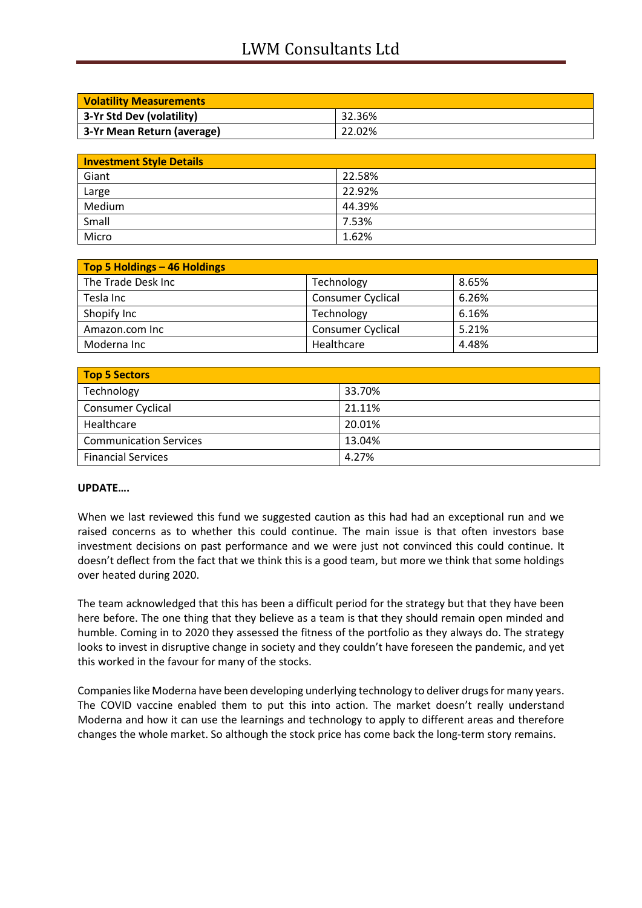# LWM Consultants Ltd

| <b>Volatility Measurements</b> |        |
|--------------------------------|--------|
| 3-Yr Std Dev (volatility)      | 32.36% |
| 3-Yr Mean Return (average)     | 22.02% |

| <b>Investment Style Details</b> |        |
|---------------------------------|--------|
| Giant                           | 22.58% |
| Large                           | 22.92% |
| Medium                          | 44.39% |
| Small                           | 7.53%  |
| Micro                           | 1.62%  |

| Top 5 Holdings - 46 Holdings |                          |       |
|------------------------------|--------------------------|-------|
| The Trade Desk Inc           | Technology               | 8.65% |
| Tesla Inc                    | <b>Consumer Cyclical</b> | 6.26% |
| Shopify Inc                  | Technology               | 6.16% |
| Amazon.com Inc               | <b>Consumer Cyclical</b> | 5.21% |
| Moderna Inc                  | Healthcare               | 4.48% |

| Top 5 Sectors                 |        |
|-------------------------------|--------|
| Technology                    | 33.70% |
| <b>Consumer Cyclical</b>      | 21.11% |
| Healthcare                    | 20.01% |
| <b>Communication Services</b> | 13.04% |
| <b>Financial Services</b>     | 4.27%  |

## **UPDATE….**

When we last reviewed this fund we suggested caution as this had had an exceptional run and we raised concerns as to whether this could continue. The main issue is that often investors base investment decisions on past performance and we were just not convinced this could continue. It doesn't deflect from the fact that we think this is a good team, but more we think that some holdings over heated during 2020.

The team acknowledged that this has been a difficult period for the strategy but that they have been here before. The one thing that they believe as a team is that they should remain open minded and humble. Coming in to 2020 they assessed the fitness of the portfolio as they always do. The strategy looks to invest in disruptive change in society and they couldn't have foreseen the pandemic, and yet this worked in the favour for many of the stocks.

Companies like Moderna have been developing underlying technology to deliver drugs for many years. The COVID vaccine enabled them to put this into action. The market doesn't really understand Moderna and how it can use the learnings and technology to apply to different areas and therefore changes the whole market. So although the stock price has come back the long-term story remains.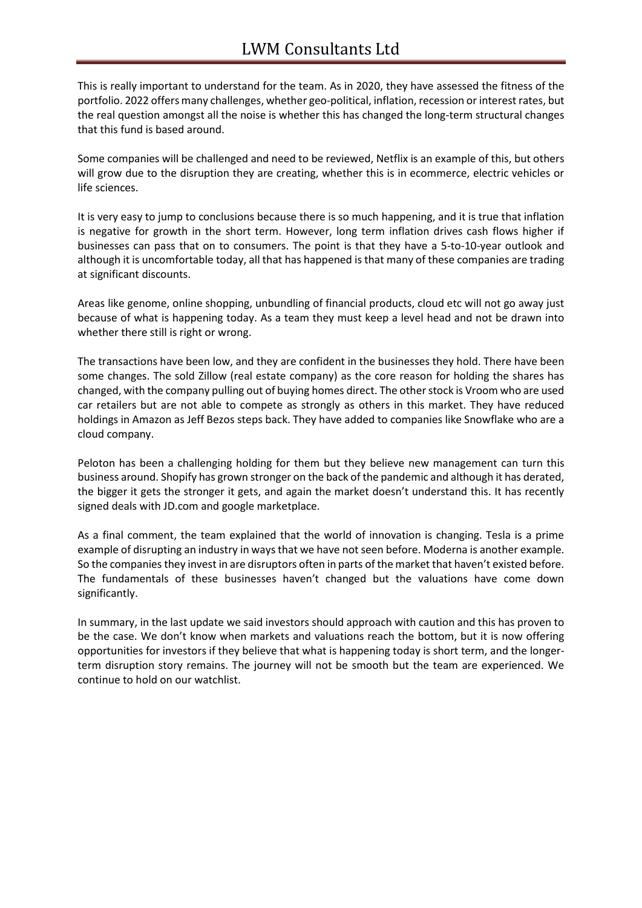This is really important to understand for the team. As in 2020, they have assessed the fitness of the portfolio. 2022 offers many challenges, whether geo-political, inflation, recession or interest rates, but the real question amongst all the noise is whether this has changed the long-term structural changes that this fund is based around.

Some companies will be challenged and need to be reviewed, Netflix is an example of this, but others will grow due to the disruption they are creating, whether this is in ecommerce, electric vehicles or life sciences.

It is very easy to jump to conclusions because there is so much happening, and it is true that inflation is negative for growth in the short term. However, long term inflation drives cash flows higher if businesses can pass that on to consumers. The point is that they have a 5-to-10-year outlook and although it is uncomfortable today, all that has happened is that many of these companies are trading at significant discounts.

Areas like genome, online shopping, unbundling of financial products, cloud etc will not go away just because of what is happening today. As a team they must keep a level head and not be drawn into whether there still is right or wrong.

The transactions have been low, and they are confident in the businesses they hold. There have been some changes. The sold Zillow (real estate company) as the core reason for holding the shares has changed, with the company pulling out of buying homes direct. The other stock is Vroom who are used car retailers but are not able to compete as strongly as others in this market. They have reduced holdings in Amazon as Jeff Bezos steps back. They have added to companies like Snowflake who are a cloud company.

Peloton has been a challenging holding for them but they believe new management can turn this business around. Shopify has grown stronger on the back of the pandemic and although it has derated, the bigger it gets the stronger it gets, and again the market doesn't understand this. It has recently signed deals with JD.com and google marketplace.

As a final comment, the team explained that the world of innovation is changing. Tesla is a prime example of disrupting an industry in ways that we have not seen before. Moderna is another example. So the companies they invest in are disruptors often in parts of the market that haven't existed before. The fundamentals of these businesses haven't changed but the valuations have come down significantly.

In summary, in the last update we said investors should approach with caution and this has proven to be the case. We don't know when markets and valuations reach the bottom, but it is now offering opportunities for investors if they believe that what is happening today is short term, and the longerterm disruption story remains. The journey will not be smooth but the team are experienced. We continue to hold on our watchlist.